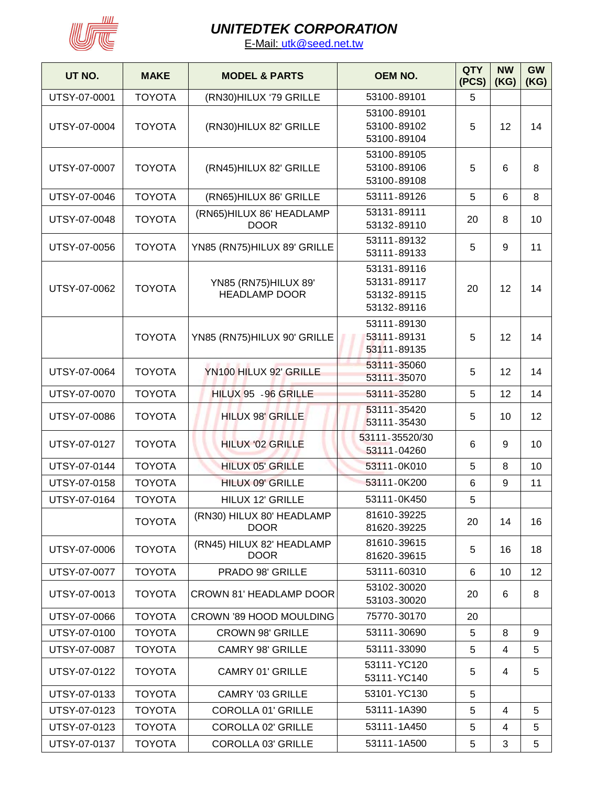

| UT NO.       | <b>MAKE</b>   | <b>MODEL &amp; PARTS</b>                              | <b>OEM NO.</b> | <b>QTY</b><br>(PCS) | <b>NW</b><br>(KG) | GW<br>(KG) |
|--------------|---------------|-------------------------------------------------------|----------------|---------------------|-------------------|------------|
| UTSY-07-0001 | <b>TOYOTA</b> | (RN30)HILUX '79 GRILLE                                | 53100-89101    | 5                   |                   |            |
|              |               |                                                       | 53100-89101    |                     |                   |            |
| UTSY-07-0004 | <b>TOYOTA</b> | (RN30)HILUX 82' GRILLE                                | 53100-89102    | 5                   | 12                | 14         |
|              |               |                                                       | 53100-89104    |                     |                   |            |
|              |               |                                                       | 53100-89105    |                     |                   |            |
| UTSY-07-0007 | <b>TOYOTA</b> | (RN45)HILUX 82' GRILLE                                | 53100-89106    | 5                   | 6                 | 8          |
|              |               |                                                       | 53100-89108    |                     |                   |            |
| UTSY-07-0046 | <b>TOYOTA</b> | (RN65)HILUX 86' GRILLE                                | 53111-89126    | 5                   | 6                 | 8          |
|              |               | (RN65)HILUX 86' HEADLAMP                              | 53131-89111    |                     |                   |            |
| UTSY-07-0048 | <b>TOYOTA</b> | <b>DOOR</b>                                           | 53132-89110    | 20                  | 8                 | 10         |
|              |               |                                                       | 53111-89132    |                     |                   |            |
| UTSY-07-0056 | <b>TOYOTA</b> | YN85 (RN75)HILUX 89' GRILLE                           | 53111-89133    | 5                   | 9                 | 11         |
|              |               |                                                       | 53131-89116    |                     |                   |            |
|              |               | YN85 (RN75)HILUX 89'                                  | 53131-89117    |                     |                   |            |
| UTSY-07-0062 | <b>TOYOTA</b> | <b>HEADLAMP DOOR</b>                                  | 53132-89115    | 20                  | 12                | 14         |
|              |               |                                                       | 53132-89116    |                     |                   |            |
|              |               |                                                       | 53111-89130    |                     |                   |            |
|              | <b>TOYOTA</b> | YN85 (RN75)HILUX 90' GRILLE                           | 53111-89131    | 5                   | 12                | 14         |
|              |               |                                                       | 53111-89135    |                     |                   |            |
|              |               |                                                       | 53111-35060    |                     |                   |            |
| UTSY-07-0064 | <b>TOYOTA</b> | YN100 HILUX 92' GRILLE                                | 53111-35070    | 5                   | 12                | 14         |
| UTSY-07-0070 | <b>TOYOTA</b> | HILUX 95 - 96 GRILLE                                  | 53111-35280    | 5                   | 12                | 14         |
| UTSY-07-0086 | <b>TOYOTA</b> | 53111-35420<br><b>HILUX 98' GRILLE</b><br>53111-35430 |                | 5                   | 10                | 12         |
|              |               |                                                       |                |                     |                   |            |
| UTSY-07-0127 | <b>TOYOTA</b> | <b>HILUX '02 GRILLE</b>                               | 53111-35520/30 | 6                   | 9                 | 10         |
|              |               |                                                       | 53111-04260    |                     |                   |            |
| UTSY-07-0144 | <b>TOYOTA</b> | <b>HILUX 05' GRILLE</b>                               | 53111-0K010    | 5                   | 8                 | 10         |
| UTSY-07-0158 | <b>TOYOTA</b> | <b>HILUX 09' GRILLE</b>                               | 53111-0K200    | 6                   | 9                 | 11         |
| UTSY-07-0164 | <b>TOYOTA</b> | <b>HILUX 12' GRILLE</b>                               | 53111-0K450    | 5                   |                   |            |
|              | <b>TOYOTA</b> | (RN30) HILUX 80' HEADLAMP                             | 81610-39225    | 20                  | 14                | 16         |
|              |               | <b>DOOR</b>                                           | 81620-39225    |                     |                   |            |
| UTSY-07-0006 | <b>TOYOTA</b> | (RN45) HILUX 82' HEADLAMP                             | 81610-39615    | 5                   | 16                | 18         |
|              |               | <b>DOOR</b>                                           | 81620-39615    |                     |                   |            |
| UTSY-07-0077 | <b>TOYOTA</b> | PRADO 98' GRILLE                                      | 53111-60310    | 6                   | 10                | 12         |
|              | <b>TOYOTA</b> |                                                       | 53102-30020    | 20<br>6             | 8                 |            |
| UTSY-07-0013 |               | <b>CROWN 81' HEADLAMP DOOR</b>                        | 53103-30020    |                     |                   |            |
| UTSY-07-0066 | <b>TOYOTA</b> | CROWN '89 HOOD MOULDING                               | 75770-30170    | 20                  |                   |            |
| UTSY-07-0100 | <b>TOYOTA</b> | <b>CROWN 98' GRILLE</b>                               | 53111-30690    | 5                   | 8                 | 9          |
| UTSY-07-0087 | <b>TOYOTA</b> | <b>CAMRY 98' GRILLE</b>                               | 53111-33090    | 5                   | 4                 | 5          |
|              |               | <b>CAMRY 01' GRILLE</b>                               | 53111-YC120    | 5                   |                   |            |
| UTSY-07-0122 | <b>TOYOTA</b> |                                                       | 53111-YC140    |                     | 4                 | 5          |
| UTSY-07-0133 | <b>TOYOTA</b> | <b>CAMRY '03 GRILLE</b>                               | 53101-YC130    | 5                   |                   |            |
| UTSY-07-0123 | <b>TOYOTA</b> | <b>COROLLA 01' GRILLE</b>                             | 53111-1A390    | 5                   | 4                 | 5          |
| UTSY-07-0123 | <b>TOYOTA</b> | <b>COROLLA 02' GRILLE</b>                             | 53111-1A450    | 5                   | 4                 | 5          |
| UTSY-07-0137 | <b>TOYOTA</b> | <b>COROLLA 03' GRILLE</b>                             | 53111-1A500    | 5                   | 3                 | 5          |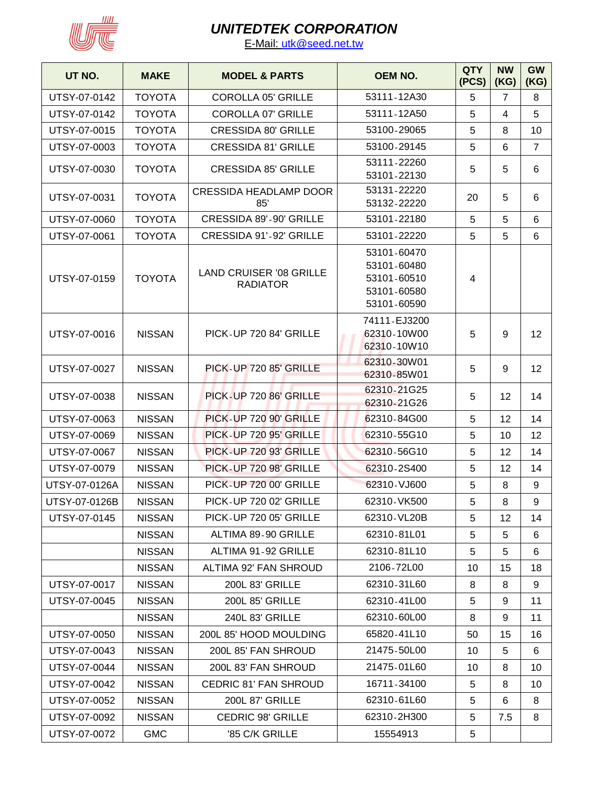

| UT NO.        | <b>MAKE</b>   | <b>MODEL &amp; PARTS</b>                          | <b>OEM NO.</b>                                                          | <b>QTY</b><br>(PCS) | <b>NW</b><br>(KG) | <b>GW</b><br>(KG) |
|---------------|---------------|---------------------------------------------------|-------------------------------------------------------------------------|---------------------|-------------------|-------------------|
| UTSY-07-0142  | <b>TOYOTA</b> | <b>COROLLA 05' GRILLE</b>                         | 53111-12A30                                                             | 5                   | 7                 | 8                 |
| UTSY-07-0142  | <b>TOYOTA</b> | <b>COROLLA 07' GRILLE</b>                         | 53111-12A50                                                             | 5                   | 4                 | 5                 |
| UTSY-07-0015  | <b>TOYOTA</b> | <b>CRESSIDA 80' GRILLE</b>                        | 53100-29065                                                             | 5                   | 8                 | 10                |
| UTSY-07-0003  | <b>TOYOTA</b> | <b>CRESSIDA 81' GRILLE</b>                        | 53100-29145                                                             | 5                   | 6                 | $\overline{7}$    |
| UTSY-07-0030  | <b>TOYOTA</b> | <b>CRESSIDA 85' GRILLE</b>                        | 53111-22260<br>53101-22130                                              | 5                   | 5                 | 6                 |
| UTSY-07-0031  | <b>TOYOTA</b> | <b>CRESSIDA HEADLAMP DOOR</b><br>85'              | 53131-22220<br>53132-22220                                              | 20                  | 5                 | 6                 |
| UTSY-07-0060  | <b>TOYOTA</b> | CRESSIDA 89'-90' GRILLE                           | 53101-22180                                                             | 5                   | 5                 | 6                 |
| UTSY-07-0061  | <b>TOYOTA</b> | CRESSIDA 91'-92' GRILLE                           | 53101-22220                                                             | 5                   | 5                 | 6                 |
| UTSY-07-0159  | <b>TOYOTA</b> | <b>LAND CRUISER '08 GRILLE</b><br><b>RADIATOR</b> | 53101-60470<br>53101-60480<br>53101-60510<br>53101-60580<br>53101-60590 | 4                   |                   |                   |
| UTSY-07-0016  | <b>NISSAN</b> | PICK-UP 720 84' GRILLE                            | 74111-EJ3200<br>62310-10W00<br>62310-10W10                              | 5                   | 9                 | 12 <sup>2</sup>   |
| UTSY-07-0027  | <b>NISSAN</b> | PICK-UP 720 85' GRILLE                            | 62310-30W01<br>62310-85W01                                              | 5                   | 9                 | 12                |
| UTSY-07-0038  | <b>NISSAN</b> | PICK-UP 720 86' GRILLE                            | 62310-21G25<br>62310-21G26                                              | 5                   | 12                | 14                |
| UTSY-07-0063  | <b>NISSAN</b> | PICK-UP 720 90' GRILLE                            | 62310-84G00                                                             | 5                   | 12                | 14                |
| UTSY-07-0069  | <b>NISSAN</b> | PICK-UP 720 95' GRILLE                            | 62310-55G10                                                             | 5                   | 10                | 12                |
| UTSY-07-0067  | <b>NISSAN</b> | PICK-UP 720 93' GRILLE                            | 62310-56G10                                                             | 5                   | $12 \,$           | 14                |
| UTSY-07-0079  | <b>NISSAN</b> | PICK-UP 720 98' GRILLE                            | 62310-2S400                                                             | 5                   | 12                | 14                |
| UTSY-07-0126A | <b>NISSAN</b> | PICK-UP 720 00' GRILLE                            | 62310-VJ600                                                             | 5                   | 8                 | 9                 |
| UTSY-07-0126B | <b>NISSAN</b> | PICK-UP 720 02' GRILLE                            | 62310-VK500                                                             | 5                   | 8                 | 9                 |
| UTSY-07-0145  | <b>NISSAN</b> | <b>PICK-UP 720 05' GRILLE</b>                     | 62310-VL20B                                                             | 5                   | 12                | 14                |
|               | <b>NISSAN</b> | ALTIMA 89-90 GRILLE                               | 62310-81L01                                                             | $\overline{5}$      | 5                 | 6                 |
|               | <b>NISSAN</b> | ALTIMA 91-92 GRILLE                               | 62310-81L10                                                             | 5                   | 5                 | 6                 |
|               | <b>NISSAN</b> | ALTIMA 92' FAN SHROUD                             | 2106-72L00                                                              | 10                  | 15                | 18                |
| UTSY-07-0017  | <b>NISSAN</b> | 200L 83' GRILLE                                   | 62310-31L60                                                             | 8                   | 8                 | 9                 |
| UTSY-07-0045  | <b>NISSAN</b> | 200L 85' GRILLE                                   | 62310-41L00                                                             | $\overline{5}$      | 9                 | 11                |
|               | <b>NISSAN</b> | 240L 83' GRILLE                                   | 62310-60L00                                                             | 8                   | 9                 | 11                |
| UTSY-07-0050  | <b>NISSAN</b> | 200L 85' HOOD MOULDING                            | 65820-41L10                                                             | 50                  | 15                | 16                |
| UTSY-07-0043  | <b>NISSAN</b> | 200L 85' FAN SHROUD                               | 21475-50L00                                                             | 10                  | 5                 | 6                 |
| UTSY-07-0044  | <b>NISSAN</b> | 200L 83' FAN SHROUD                               | 21475-01L60                                                             | 10                  | 8                 | 10                |
| UTSY-07-0042  | <b>NISSAN</b> | <b>CEDRIC 81' FAN SHROUD</b>                      | 16711-34100                                                             | 5                   | 8                 | 10                |
| UTSY-07-0052  | <b>NISSAN</b> | <b>200L 87' GRILLE</b>                            | 62310-61L60                                                             | 5                   | 6                 | 8                 |
| UTSY-07-0092  | <b>NISSAN</b> | <b>CEDRIC 98' GRILLE</b>                          | 62310-2H300                                                             | $\sqrt{5}$          | 7.5               | 8                 |
| UTSY-07-0072  | <b>GMC</b>    | '85 C/K GRILLE                                    | 15554913                                                                | 5                   |                   |                   |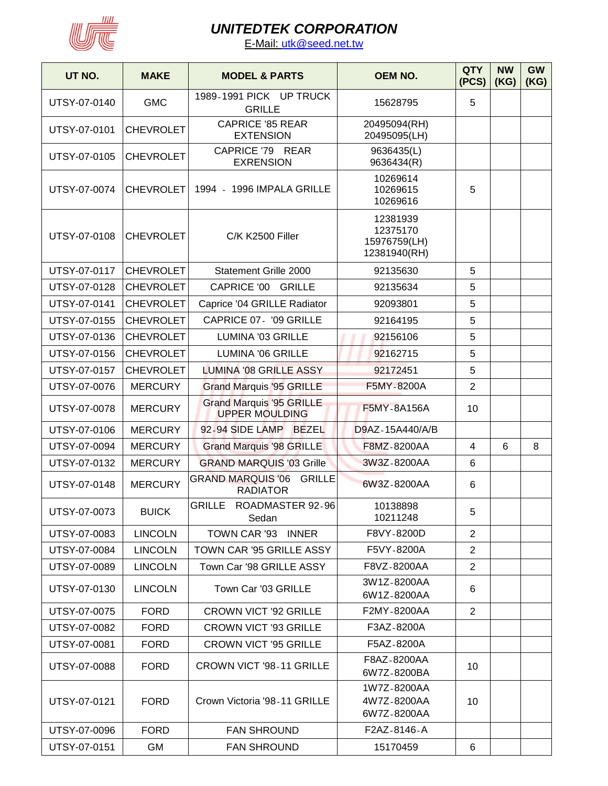

| UT NO.       | <b>MAKE</b>      | <b>MODEL &amp; PARTS</b>                                     | <b>OEM NO.</b>                                       | <b>QTY</b><br>(PCS) | <b>NW</b><br>(KG) | <b>GW</b><br>(KG) |
|--------------|------------------|--------------------------------------------------------------|------------------------------------------------------|---------------------|-------------------|-------------------|
| UTSY-07-0140 | <b>GMC</b>       | 1989-1991 PICK UP TRUCK<br><b>GRILLE</b>                     | 15628795                                             | 5                   |                   |                   |
| UTSY-07-0101 | <b>CHEVROLET</b> | <b>CAPRICE '85 REAR</b><br><b>EXTENSION</b>                  | 20495094(RH)<br>20495095(LH)                         |                     |                   |                   |
| UTSY-07-0105 | <b>CHEVROLET</b> | CAPRICE '79 REAR<br><b>EXRENSION</b>                         | 9636435(L)<br>9636434(R)                             |                     |                   |                   |
| UTSY-07-0074 | <b>CHEVROLET</b> | 1994 - 1996 IMPALA GRILLE                                    | 10269614<br>10269615<br>10269616                     | 5                   |                   |                   |
| UTSY-07-0108 | <b>CHEVROLET</b> | C/K K2500 Filler                                             | 12381939<br>12375170<br>15976759(LH)<br>12381940(RH) |                     |                   |                   |
| UTSY-07-0117 | <b>CHEVROLET</b> | Statement Grille 2000                                        | 92135630                                             | 5                   |                   |                   |
| UTSY-07-0128 | <b>CHEVROLET</b> | CAPRICE '00 GRILLE                                           | 92135634                                             | 5                   |                   |                   |
| UTSY-07-0141 | <b>CHEVROLET</b> | Caprice '04 GRILLE Radiator                                  | 92093801                                             | 5                   |                   |                   |
| UTSY-07-0155 | <b>CHEVROLET</b> | CAPRICE 07- '09 GRILLE                                       | 92164195                                             | 5                   |                   |                   |
| UTSY-07-0136 | <b>CHEVROLET</b> | LUMINA '03 GRILLE                                            | 92156106                                             | 5                   |                   |                   |
| UTSY-07-0156 | <b>CHEVROLET</b> | LUMINA '06 GRILLE                                            | 92162715                                             | 5                   |                   |                   |
| UTSY-07-0157 | <b>CHEVROLET</b> | LUMINA '08 GRILLE ASSY                                       | 92172451                                             | 5                   |                   |                   |
| UTSY-07-0076 | <b>MERCURY</b>   | <b>Grand Marquis '95 GRILLE</b>                              | F5MY-8200A                                           | $\overline{2}$      |                   |                   |
| UTSY-07-0078 | <b>MERCURY</b>   | <b>Grand Marquis '95 GRILLE</b><br><b>UPPER MOULDING</b>     | <b>F5MY-8A156A</b>                                   | 10                  |                   |                   |
| UTSY-07-0106 | <b>MERCURY</b>   | 92-94 SIDE LAMP BEZEL                                        | D9AZ-15A440/A/B                                      |                     |                   |                   |
| UTSY-07-0094 | <b>MERCURY</b>   | <b>Grand Marquis '98 GRILLE</b>                              | F8MZ-8200AA                                          | 4                   | 6                 | 8                 |
| UTSY-07-0132 | <b>MERCURY</b>   | <b>GRAND MARQUIS '03 Grille</b>                              | 3W3Z-8200AA                                          | 6                   |                   |                   |
| UTSY-07-0148 | <b>MERCURY</b>   | <b>GRAND MARQUIS '06</b><br><b>GRILLE</b><br><b>RADIATOR</b> | 6W3Z-8200AA                                          | 6                   |                   |                   |
| UTSY-07-0073 | <b>BUICK</b>     | GRILLE ROADMASTER 92-96<br>Sedan                             | 10138898<br>10211248                                 | 5                   |                   |                   |
| UTSY-07-0083 | <b>LINCOLN</b>   | TOWN CAR '93 INNER                                           | F8VY-8200D                                           | $\overline{2}$      |                   |                   |
| UTSY-07-0084 | <b>LINCOLN</b>   | TOWN CAR '95 GRILLE ASSY                                     | F5VY-8200A                                           | $\overline{2}$      |                   |                   |
| UTSY-07-0089 | <b>LINCOLN</b>   | Town Car '98 GRILLE ASSY                                     | F8VZ-8200AA                                          | $\overline{2}$      |                   |                   |
| UTSY-07-0130 | <b>LINCOLN</b>   | Town Car '03 GRILLE                                          | 3W1Z-8200AA<br>6W1Z-8200AA                           | 6                   |                   |                   |
| UTSY-07-0075 | <b>FORD</b>      | <b>CROWN VICT '92 GRILLE</b>                                 | F2MY-8200AA                                          | $\overline{2}$      |                   |                   |
| UTSY-07-0082 | <b>FORD</b>      | <b>CROWN VICT '93 GRILLE</b>                                 | F3AZ-8200A                                           |                     |                   |                   |
| UTSY-07-0081 | <b>FORD</b>      | <b>CROWN VICT '95 GRILLE</b>                                 | F5AZ-8200A                                           |                     |                   |                   |
| UTSY-07-0088 | <b>FORD</b>      | CROWN VICT '98-11 GRILLE                                     | F8AZ-8200AA<br>6W7Z-8200BA                           | 10                  |                   |                   |
| UTSY-07-0121 | <b>FORD</b>      | Crown Victoria '98-11 GRILLE                                 | 1W7Z-8200AA<br>4W7Z-8200AA<br>6W7Z-8200AA            | 10                  |                   |                   |
| UTSY-07-0096 | <b>FORD</b>      | <b>FAN SHROUND</b>                                           | F2AZ-8146-A                                          |                     |                   |                   |
| UTSY-07-0151 | <b>GM</b>        | <b>FAN SHROUND</b>                                           | 15170459                                             | 6                   |                   |                   |